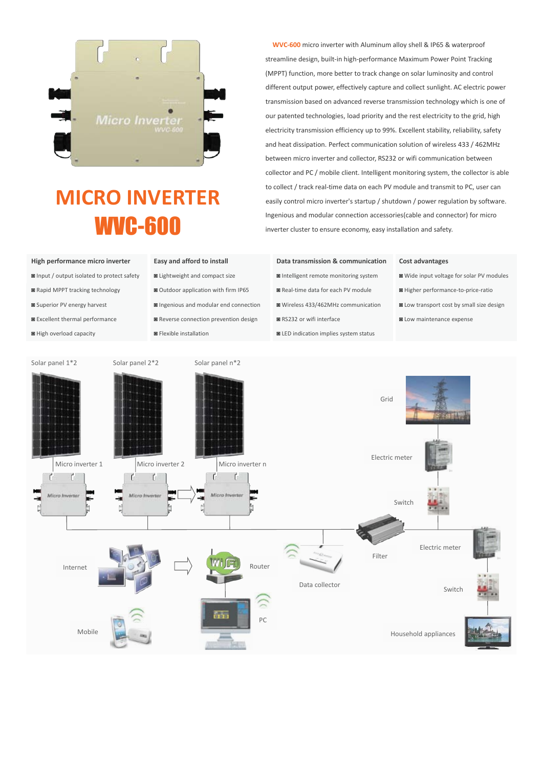

# **MICRO INVERTER** WVC-600

## **WVC-600** micro inverter with Aluminum alloy shell & IP65 & waterproof streamline design, built-in high-performance Maximum Power Point Tracking (MPPT) function, more better to track change on solar luminosity and control different output power, effectively capture and collect sunlight. AC electric power transmission based on advanced reverse transmission technology which is one of our patented technologies, load priority and the rest electricity to the grid, high electricity transmission efficiency up to 99%. Excellent stability, reliability, safety and heat dissipation. Perfect communication solution of wireless 433 / 462MHz between micro inverter and collector, RS232 or wifi communication between collector and PC / mobile client. Intelligent monitoring system, the collector is able to collect / track real-time data on each PV module and transmit to PC, user can easily control micro inverter's startup / shutdown / power regulation by software. Ingenious and modular connection accessories(cable and connector) for micro inverter cluster to ensure economy, easy installation and safety.

- 
- 
- 
- 
- 

- 
- 
- 
- ◙ Excellent thermal performance ◙ Reverse connection prevention design ◙ RS232 or wifi interface ◙ Low maintenance expense
	-

## **High performance micro inverter Easy and afford to install Data transmission & communication Cost advantages**

- 
- 
- 
- 
- ◙ High overload capacity ◙ Flexible installation ◙ LED indication implies system status

- ◙ Input / output isolated to protect safety ◙ Lightweight and compact size ◙ Intelligent remote monitoring system ◙ Wide input voltage for solar PV modules
- ◙ Rapid MPPT tracking technology ◙ Outdoor application with firm IP65 ◙ Real-time data for each PV module ◙ Higher performance-to-price-ratio
- ◙ Superior PV energy harvest ◙ Ingenious and modular end connection ◙ Wireless 433/462MHz communication ◙ Low transport cost by small size design
	-